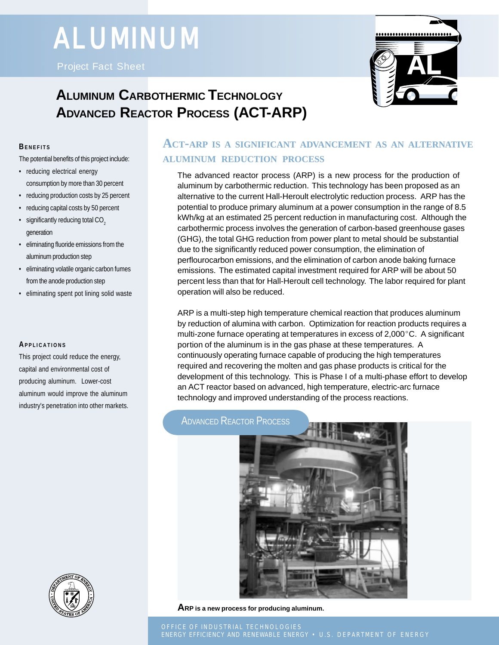# **ALUMINUM**

Project Fact Sheet



# **ALUMINUM CARBOTHERMIC TECHNOLOGY ADVANCED REACTOR PROCESS (ACT-ARP)**

#### **BENEFITS**

The potential benefits of this project include:

- reducing electrical energy consumption by more than 30 percent
- reducing production costs by 25 percent
- reducing capital costs by 50 percent
- $\cdot$  significantly reducing total CO<sub>2</sub> generation
- eliminating fluoride emissions from the aluminum production step
- eliminating volatile organic carbon fumes from the anode production step
- eliminating spent pot lining solid waste

#### **APPLICATIONS**

This project could reduce the energy, capital and environmental cost of producing aluminum. Lower-cost aluminum would improve the aluminum industry's penetration into other markets.



The advanced reactor process (ARP) is a new process for the production of aluminum by carbothermic reduction. This technology has been proposed as an alternative to the current Hall-Heroult electrolytic reduction process. ARP has the potential to produce primary aluminum at a power consumption in the range of 8.5 kWh/kg at an estimated 25 percent reduction in manufacturing cost. Although the carbothermic process involves the generation of carbon-based greenhouse gases (GHG), the total GHG reduction from power plant to metal should be substantial due to the significantly reduced power consumption, the elimination of perflourocarbon emissions, and the elimination of carbon anode baking furnace emissions. The estimated capital investment required for ARP will be about 50 percent less than that for Hall-Heroult cell technology. The labor required for plant operation will also be reduced.

ARP is a multi-step high temperature chemical reaction that produces aluminum by reduction of alumina with carbon. Optimization for reaction products requires a multi-zone furnace operating at temperatures in excess of  $2,000^{\circ}$ C. A significant portion of the aluminum is in the gas phase at these temperatures. A continuously operating furnace capable of producing the high temperatures required and recovering the molten and gas phase products is critical for the development of this technology. This is Phase I of a multi-phase effort to develop an ACT reactor based on advanced, high temperature, electric-arc furnace technology and improved understanding of the process reactions.

## **ADVANCED REACTOR PROCESS**



**ARP is a new process for producing aluminum.**